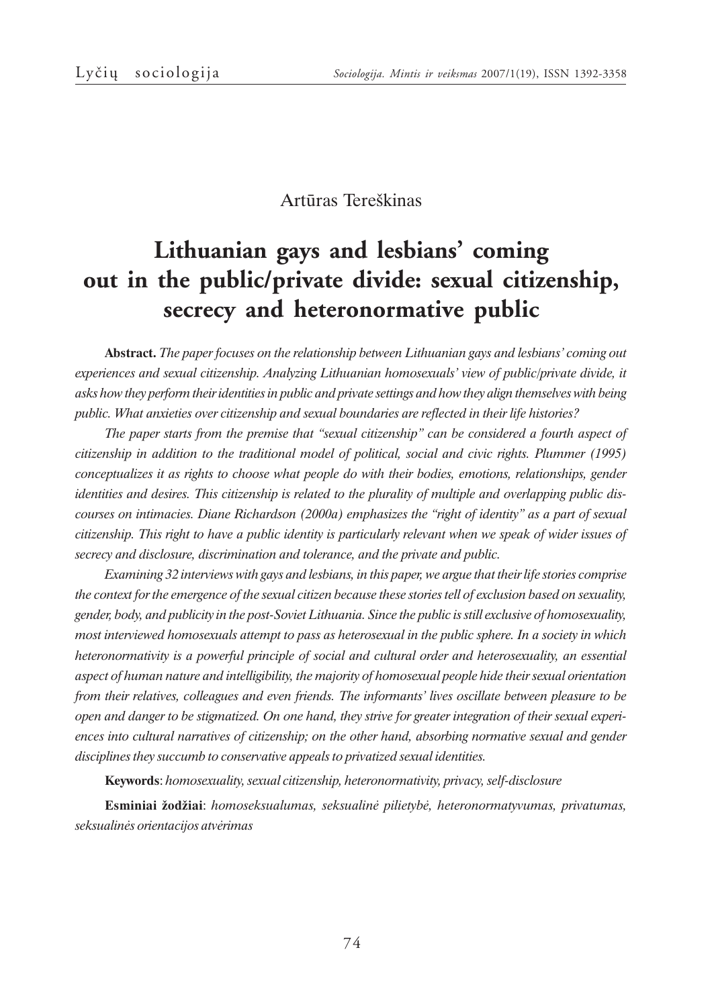### Artûras Tereðkinas

# **Lithuanian gays and lesbians' coming out in the public/private divide: sexual citizenship, secrecy and heteronormative public**

**Abstract.** *The paper focuses on the relationship between Lithuanian gays and lesbians' coming out experiences and sexual citizenship. Analyzing Lithuanian homosexuals' view of public/private divide, it asks how they perform their identities in public and private settings and how they align themselves with being public. What anxieties over citizenship and sexual boundaries are reflected in their life histories?*

*The paper starts from the premise that "sexual citizenship" can be considered a fourth aspect of citizenship in addition to the traditional model of political, social and civic rights. Plummer (1995) conceptualizes it as rights to choose what people do with their bodies, emotions, relationships, gender identities and desires. This citizenship is related to the plurality of multiple and overlapping public discourses on intimacies. Diane Richardson (2000a) emphasizes the "right of identity" as a part of sexual citizenship. This right to have a public identity is particularly relevant when we speak of wider issues of secrecy and disclosure, discrimination and tolerance, and the private and public.*

*Examining 32 interviews with gays and lesbians, in this paper, we argue that their life stories comprise the context for the emergence of the sexual citizen because these stories tell of exclusion based on sexuality, gender, body, and publicity in the post-Soviet Lithuania. Since the public is still exclusive of homosexuality, most interviewed homosexuals attempt to pass as heterosexual in the public sphere. In a society in which heteronormativity is a powerful principle of social and cultural order and heterosexuality, an essential aspect of human nature and intelligibility, the majority of homosexual people hide their sexual orientation from their relatives, colleagues and even friends. The informants' lives oscillate between pleasure to be open and danger to be stigmatized. On one hand, they strive for greater integration of their sexual experiences into cultural narratives of citizenship; on the other hand, absorbing normative sexual and gender disciplines they succumb to conservative appeals to privatized sexual identities.*

**Keywords**:*homosexuality, sexual citizenship, heteronormativity, privacy, self-disclosure*

**Esminiai þodþiai**: *homoseksualumas, seksualinë pilietybë, heteronormatyvumas, privatumas, seksualinës orientacijos atvërimas*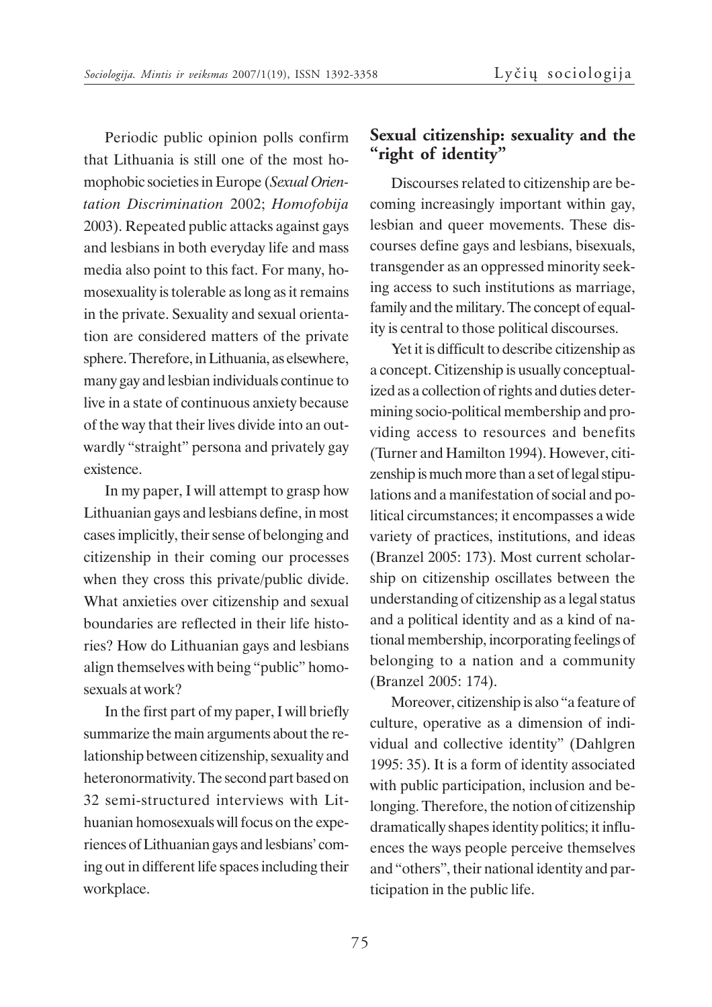Periodic public opinion polls confirm that Lithuania is still one of the most homophobic societies in Europe (*Sexual Orientation Discrimination* 2002; *Homofobija* 2003). Repeated public attacks against gays and lesbians in both everyday life and mass media also point to this fact. For many, homosexuality is tolerable as long as it remains in the private. Sexuality and sexual orientation are considered matters of the private sphere. Therefore, in Lithuania, as elsewhere, many gay and lesbian individuals continue to live in a state of continuous anxiety because of the way that their lives divide into an outwardly "straight" persona and privately gay existence.

In my paper, I will attempt to grasp how Lithuanian gays and lesbians define, in most cases implicitly, their sense of belonging and citizenship in their coming our processes when they cross this private/public divide. What anxieties over citizenship and sexual boundaries are reflected in their life histories? How do Lithuanian gays and lesbians align themselves with being "public" homosexuals at work?

In the first part of my paper, I will briefly summarize the main arguments about the relationship between citizenship, sexuality and heteronormativity. The second part based on 32 semi-structured interviews with Lithuanian homosexuals will focus on the experiences of Lithuanian gays and lesbians' coming out in different life spaces including their workplace.

## **Sexual citizenship: sexuality and the "right of identity"**

Discourses related to citizenship are becoming increasingly important within gay, lesbian and queer movements. These discourses define gays and lesbians, bisexuals, transgender as an oppressed minority seeking access to such institutions as marriage, family and the military. The concept of equality is central to those political discourses.

Yet it is difficult to describe citizenship as a concept. Citizenship is usually conceptualized as a collection of rights and duties determining socio-political membership and providing access to resources and benefits (Turner and Hamilton 1994). However, citizenship is much more than a set of legal stipulations and a manifestation of social and political circumstances; it encompasses a wide variety of practices, institutions, and ideas (Branzel 2005: 173). Most current scholarship on citizenship oscillates between the understanding of citizenship as a legal status and a political identity and as a kind of national membership, incorporating feelings of belonging to a nation and a community (Branzel 2005: 174).

Moreover, citizenship is also "a feature of culture, operative as a dimension of individual and collective identity" (Dahlgren 1995: 35). It is a form of identity associated with public participation, inclusion and belonging. Therefore, the notion of citizenship dramatically shapes identity politics; it influences the ways people perceive themselves and "others", their national identity and participation in the public life.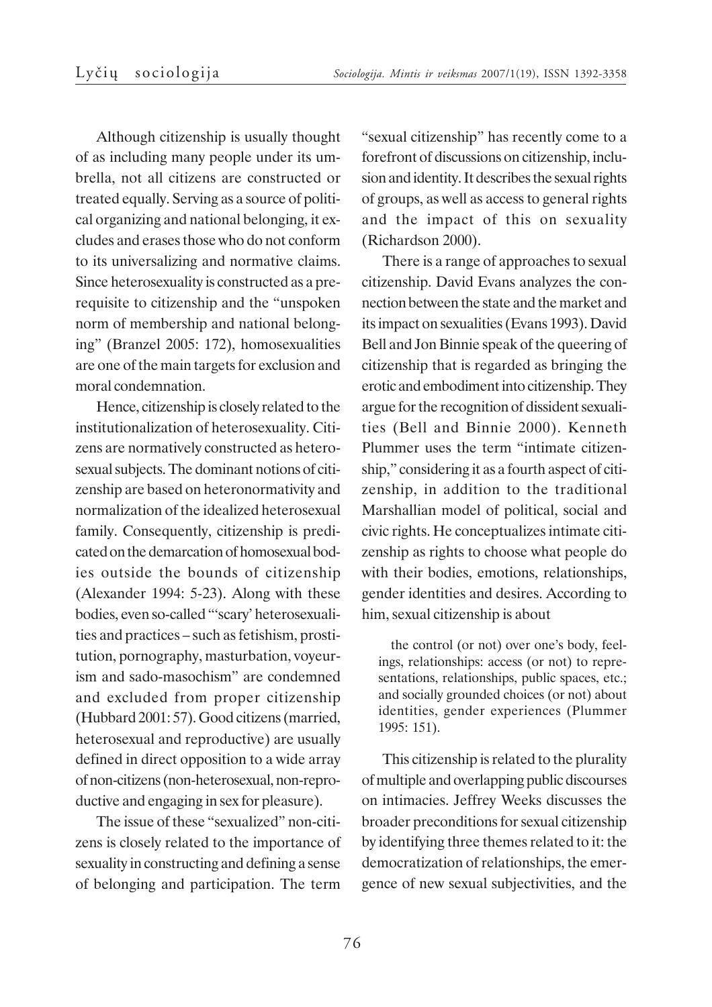Although citizenship is usually thought of as including many people under its umbrella, not all citizens are constructed or treated equally. Serving as a source of political organizing and national belonging, it excludes and erases those who do not conform to its universalizing and normative claims. Since heterosexuality is constructed as a prerequisite to citizenship and the "unspoken norm of membership and national belonging" (Branzel 2005: 172), homosexualities are one of the main targets for exclusion and moral condemnation.

Hence, citizenship is closely related to the institutionalization of heterosexuality. Citizens are normatively constructed as heterosexual subjects. The dominant notions of citizenship are based on heteronormativity and normalization of the idealized heterosexual family. Consequently, citizenship is predicated on the demarcation of homosexual bodies outside the bounds of citizenship (Alexander 1994: 5-23). Along with these bodies, even so-called "'scary' heterosexualities and practices – such as fetishism, prostitution, pornography, masturbation, voyeurism and sado-masochism" are condemned and excluded from proper citizenship (Hubbard 2001: 57). Good citizens (married, heterosexual and reproductive) are usually defined in direct opposition to a wide array of non-citizens (non-heterosexual, non-reproductive and engaging in sex for pleasure).

The issue of these "sexualized" non-citizens is closely related to the importance of sexuality in constructing and defining a sense of belonging and participation. The term

"sexual citizenship" has recently come to a forefront of discussions on citizenship, inclusion and identity. It describes the sexual rights of groups, as well as access to general rights and the impact of this on sexuality (Richardson 2000).

There is a range of approaches to sexual citizenship. David Evans analyzes the connection between the state and the market and its impact on sexualities (Evans 1993). David Bell and Jon Binnie speak of the queering of citizenship that is regarded as bringing the erotic and embodiment into citizenship. They argue for the recognition of dissident sexualities (Bell and Binnie 2000). Kenneth Plummer uses the term "intimate citizenship," considering it as a fourth aspect of citizenship, in addition to the traditional Marshallian model of political, social and civic rights. He conceptualizes intimate citizenship as rights to choose what people do with their bodies, emotions, relationships, gender identities and desires. According to him, sexual citizenship is about

the control (or not) over one's body, feelings, relationships: access (or not) to representations, relationships, public spaces, etc.; and socially grounded choices (or not) about identities, gender experiences (Plummer 1995: 151).

This citizenship is related to the plurality of multiple and overlapping public discourses on intimacies. Jeffrey Weeks discusses the broader preconditions for sexual citizenship by identifying three themes related to it: the democratization of relationships, the emergence of new sexual subjectivities, and the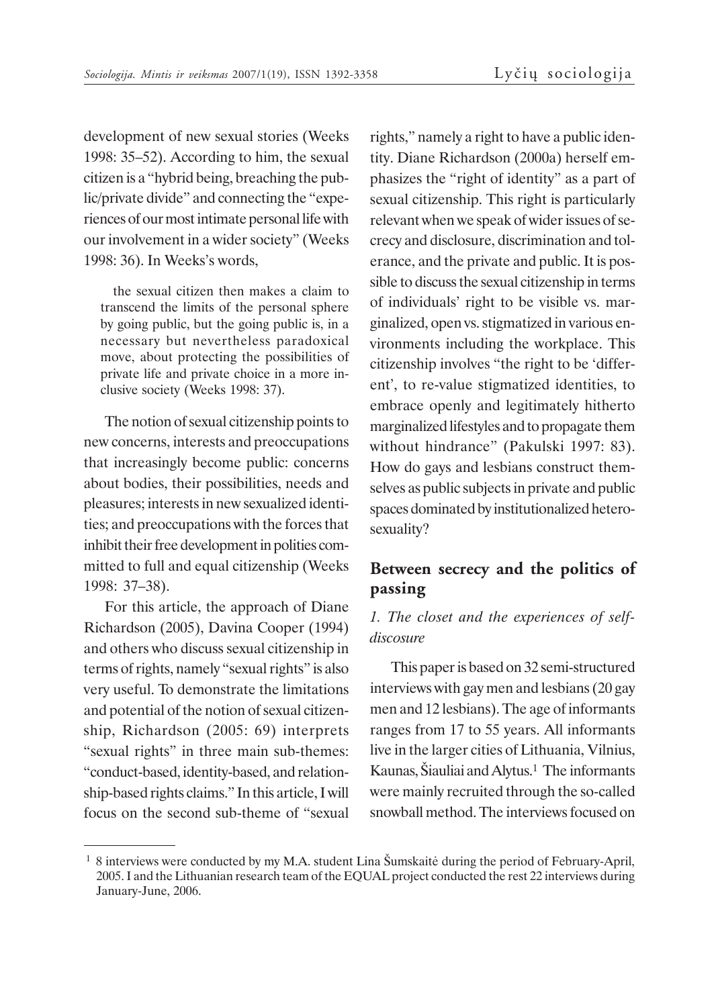development of new sexual stories (Weeks 1998: 35–52). According to him, the sexual citizen is a "hybrid being, breaching the public/private divide" and connecting the "experiences of our most intimate personal life with our involvement in a wider society" (Weeks 1998: 36). In Weeks's words,

the sexual citizen then makes a claim to transcend the limits of the personal sphere by going public, but the going public is, in a necessary but nevertheless paradoxical move, about protecting the possibilities of private life and private choice in a more inclusive society (Weeks 1998: 37).

The notion of sexual citizenship points to new concerns, interests and preoccupations that increasingly become public: concerns about bodies, their possibilities, needs and pleasures; interests in new sexualized identities; and preoccupations with the forces that inhibit their free development in polities committed to full and equal citizenship (Weeks 1998: 37–38).

For this article, the approach of Diane Richardson (2005), Davina Cooper (1994) and others who discuss sexual citizenship in terms of rights, namely "sexual rights" is also very useful. To demonstrate the limitations and potential of the notion of sexual citizenship, Richardson (2005: 69) interprets "sexual rights" in three main sub-themes: "conduct-based, identity-based, and relationship-based rights claims." In this article, I will focus on the second sub-theme of "sexual

rights," namely a right to have a public identity. Diane Richardson (2000a) herself emphasizes the "right of identity" as a part of sexual citizenship. This right is particularly relevant when we speak of wider issues of secrecy and disclosure, discrimination and tolerance, and the private and public. It is possible to discuss the sexual citizenship in terms of individuals' right to be visible vs. marginalized, open vs. stigmatized in various environments including the workplace. This citizenship involves "the right to be 'different', to re-value stigmatized identities, to embrace openly and legitimately hitherto marginalized lifestyles and to propagate them without hindrance" (Pakulski 1997: 83). How do gays and lesbians construct themselves as public subjects in private and public spaces dominated by institutionalized heterosexuality?

# **Between secrecy and the politics of passing**

#### *1. The closet and the experiences of selfdiscosure*

This paper is based on 32 semi-structured interviews with gay men and lesbians (20 gay men and 12 lesbians). The age of informants ranges from 17 to 55 years. All informants live in the larger cities of Lithuania, Vilnius, Kaunas, Šiauliai and Alytus.<sup>1</sup> The informants were mainly recruited through the so-called snowball method. The interviews focused on

<sup>&</sup>lt;sup>1</sup> 8 interviews were conducted by my M.A. student Lina Šumskaitė during the period of February-April, 2005. I and the Lithuanian research team of the EQUAL project conducted the rest 22 interviews during January-June, 2006.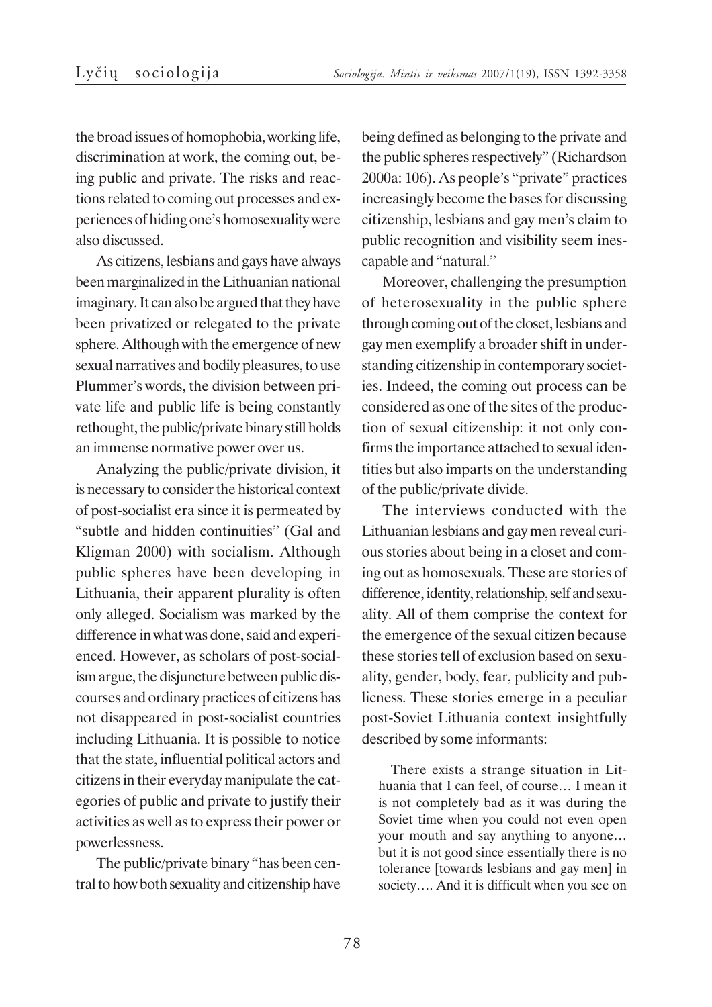the broad issues of homophobia, working life, discrimination at work, the coming out, being public and private. The risks and reactions related to coming out processes and experiences of hiding one's homosexuality were also discussed.

As citizens, lesbians and gays have always been marginalized in the Lithuanian national imaginary. It can also be argued that they have been privatized or relegated to the private sphere. Although with the emergence of new sexual narratives and bodily pleasures, to use Plummer's words, the division between private life and public life is being constantly rethought, the public/private binary still holds an immense normative power over us.

Analyzing the public/private division, it is necessary to consider the historical context of post-socialist era since it is permeated by "subtle and hidden continuities" (Gal and Kligman 2000) with socialism. Although public spheres have been developing in Lithuania, their apparent plurality is often only alleged. Socialism was marked by the difference in what was done, said and experienced. However, as scholars of post-socialism argue, the disjuncture between public discourses and ordinary practices of citizens has not disappeared in post-socialist countries including Lithuania. It is possible to notice that the state, influential political actors and citizens in their everyday manipulate the categories of public and private to justify their activities as well as to express their power or powerlessness.

The public/private binary "has been central to how both sexuality and citizenship have

being defined as belonging to the private and the public spheres respectively" (Richardson 2000a: 106). As people's "private" practices increasingly become the bases for discussing citizenship, lesbians and gay men's claim to public recognition and visibility seem inescapable and "natural."

Moreover, challenging the presumption of heterosexuality in the public sphere through coming out of the closet, lesbians and gay men exemplify a broader shift in understanding citizenship in contemporary societies. Indeed, the coming out process can be considered as one of the sites of the production of sexual citizenship: it not only confirms the importance attached to sexual identities but also imparts on the understanding of the public/private divide.

The interviews conducted with the Lithuanian lesbians and gay men reveal curious stories about being in a closet and coming out as homosexuals. These are stories of difference, identity, relationship, self and sexuality. All of them comprise the context for the emergence of the sexual citizen because these stories tell of exclusion based on sexuality, gender, body, fear, publicity and publicness. These stories emerge in a peculiar post-Soviet Lithuania context insightfully described by some informants:

There exists a strange situation in Lithuania that I can feel, of course… I mean it is not completely bad as it was during the Soviet time when you could not even open your mouth and say anything to anyone… but it is not good since essentially there is no tolerance [towards lesbians and gay men] in society…. And it is difficult when you see on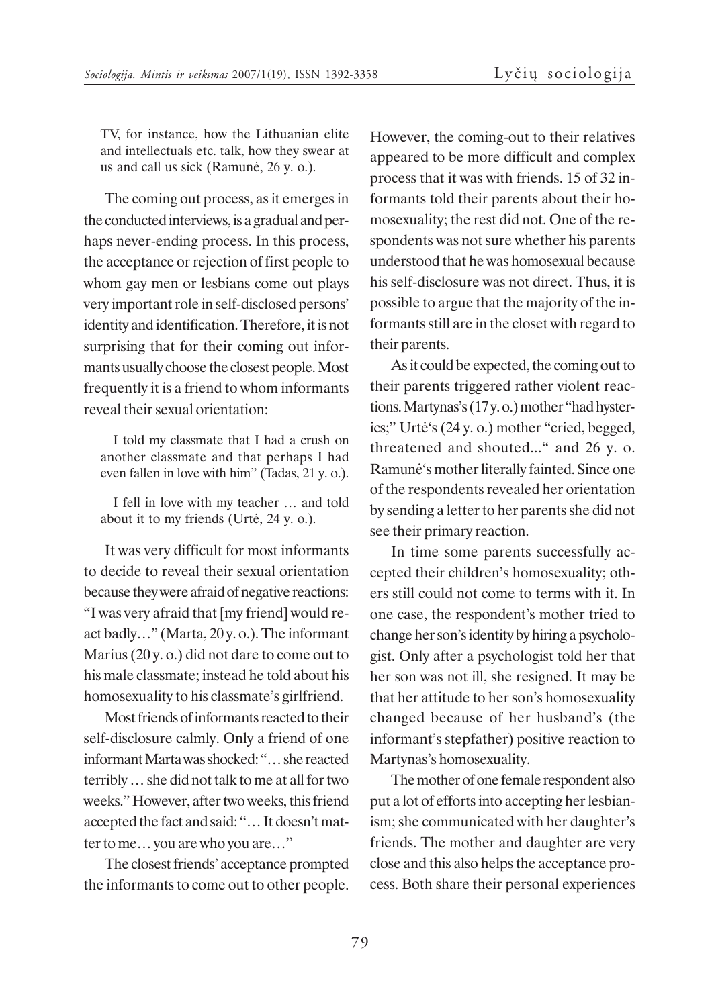TV, for instance, how the Lithuanian elite and intellectuals etc. talk, how they swear at us and call us sick (Ramunë, 26 y. o.).

The coming out process, as it emerges in the conducted interviews, is a gradual and perhaps never-ending process. In this process, the acceptance or rejection of first people to whom gay men or lesbians come out plays very important role in self-disclosed persons' identity and identification. Therefore, it is not surprising that for their coming out informants usually choose the closest people. Most frequently it is a friend to whom informants reveal their sexual orientation:

I told my classmate that I had a crush on another classmate and that perhaps I had even fallen in love with him" (Tadas, 21 y. o.).

I fell in love with my teacher … and told about it to my friends (Urtë, 24 y. o.).

It was very difficult for most informants to decide to reveal their sexual orientation because they were afraid of negative reactions: "I was very afraid that [my friend] would react badly…" (Marta, 20 y. o.). The informant Marius (20 y. o.) did not dare to come out to his male classmate; instead he told about his homosexuality to his classmate's girlfriend.

Most friends of informants reacted to their self-disclosure calmly. Only a friend of one informant Marta was shocked: "… she reacted terribly … she did not talk to me at all for two weeks." However, after two weeks, this friend accepted the fact and said: "… It doesn't matter to me… you are who you are…"

The closest friends' acceptance prompted the informants to come out to other people. However, the coming-out to their relatives appeared to be more difficult and complex process that it was with friends. 15 of 32 informants told their parents about their homosexuality; the rest did not. One of the respondents was not sure whether his parents understood that he was homosexual because his self-disclosure was not direct. Thus, it is possible to argue that the majority of the informants still are in the closet with regard to their parents.

As it could be expected, the coming out to their parents triggered rather violent reactions. Martynas's (17 y. o.) mother "had hysterics;" Urtë's (24 y. o.) mother "cried, begged, threatened and shouted..." and 26 y. o. Ramunë's mother literally fainted. Since one of the respondents revealed her orientation by sending a letter to her parents she did not see their primary reaction.

In time some parents successfully accepted their children's homosexuality; others still could not come to terms with it. In one case, the respondent's mother tried to change her son's identity by hiring a psychologist. Only after a psychologist told her that her son was not ill, she resigned. It may be that her attitude to her son's homosexuality changed because of her husband's (the informant's stepfather) positive reaction to Martynas's homosexuality.

The mother of one female respondent also put a lot of efforts into accepting her lesbianism; she communicated with her daughter's friends. The mother and daughter are very close and this also helps the acceptance process. Both share their personal experiences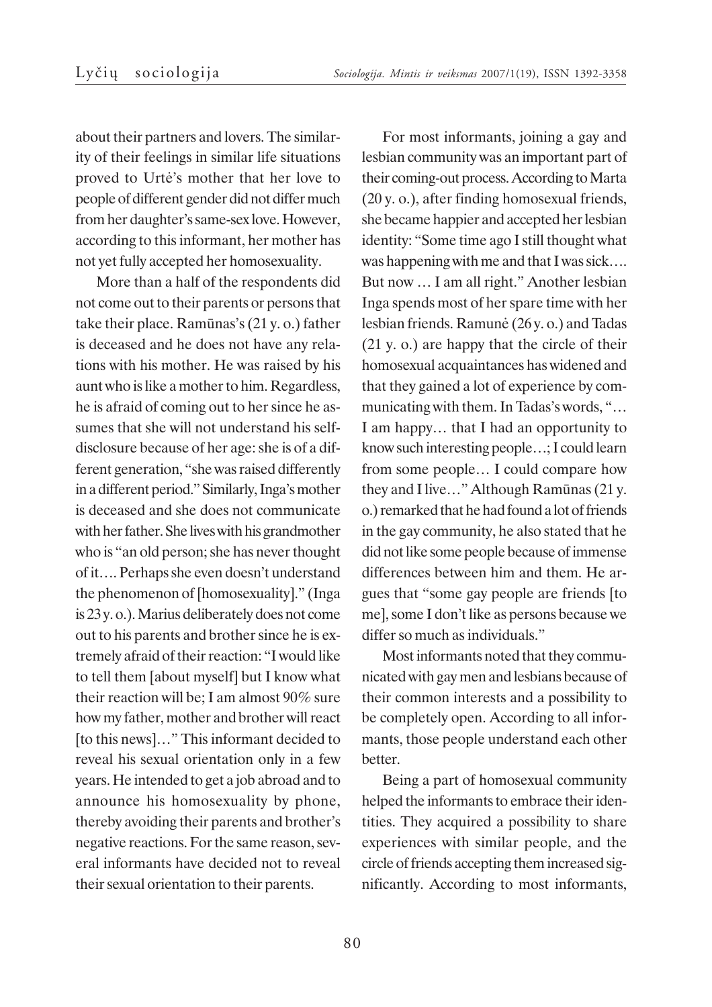about their partners and lovers. The similarity of their feelings in similar life situations proved to Urtë's mother that her love to people of different gender did not differ much from her daughter's same-sex love. However, according to this informant, her mother has not yet fully accepted her homosexuality.

More than a half of the respondents did not come out to their parents or persons that take their place. Ramûnas's (21 y. o.) father is deceased and he does not have any relations with his mother. He was raised by his aunt who is like a mother to him. Regardless, he is afraid of coming out to her since he assumes that she will not understand his selfdisclosure because of her age: she is of a different generation, "she was raised differently in a different period." Similarly, Inga's mother is deceased and she does not communicate with her father. She lives with his grandmother who is "an old person; she has never thought of it…. Perhaps she even doesn't understand the phenomenon of [homosexuality]." (Inga is 23 y. o.). Marius deliberately does not come out to his parents and brother since he is extremely afraid of their reaction: "I would like to tell them [about myself] but I know what their reaction will be; I am almost 90% sure how my father, mother and brother will react [to this news]..." This informant decided to reveal his sexual orientation only in a few years. He intended to get a job abroad and to announce his homosexuality by phone, thereby avoiding their parents and brother's negative reactions. For the same reason, several informants have decided not to reveal their sexual orientation to their parents.

For most informants, joining a gay and lesbian community was an important part of their coming-out process. According to Marta (20 y. o.), after finding homosexual friends, she became happier and accepted her lesbian identity: "Some time ago I still thought what was happening with me and that I was sick.... But now … I am all right." Another lesbian Inga spends most of her spare time with her lesbian friends. Ramunë (26 y. o.) and Tadas (21 y. o.) are happy that the circle of their homosexual acquaintances has widened and that they gained a lot of experience by communicating with them. In Tadas's words, "… I am happy… that I had an opportunity to know such interesting people…; I could learn from some people… I could compare how they and I live…" Although Ramûnas (21 y. o.) remarked that he had found a lot of friends in the gay community, he also stated that he did not like some people because of immense differences between him and them. He argues that "some gay people are friends [to me], some I don't like as persons because we differ so much as individuals."

Most informants noted that they communicated with gay men and lesbians because of their common interests and a possibility to be completely open. According to all informants, those people understand each other better.

Being a part of homosexual community helped the informants to embrace their identities. They acquired a possibility to share experiences with similar people, and the circle of friends accepting them increased significantly. According to most informants,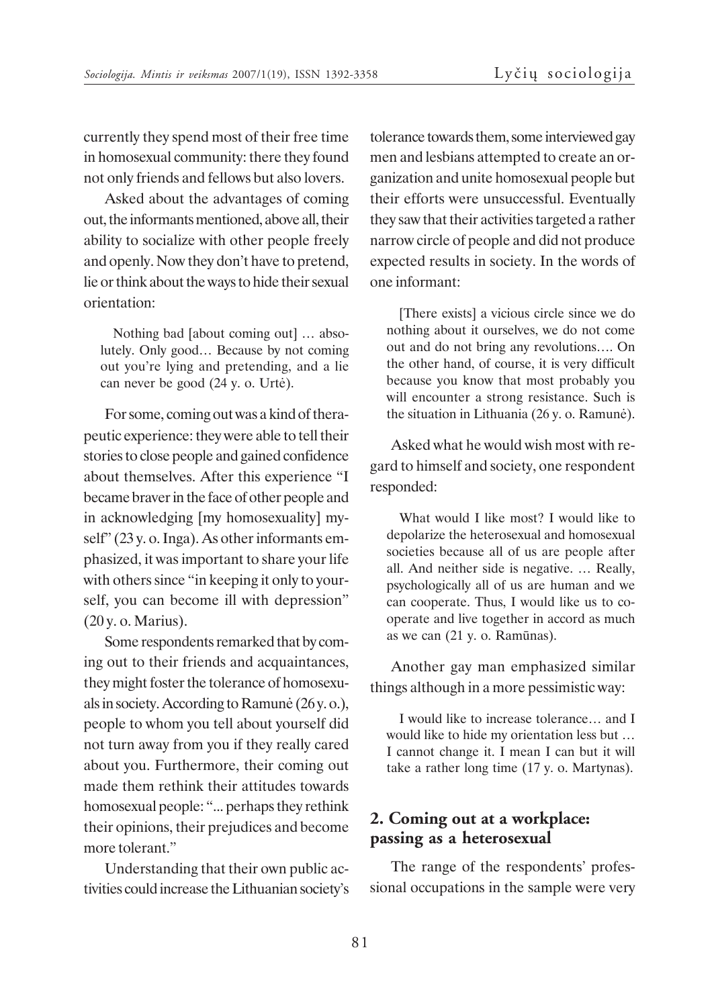currently they spend most of their free time in homosexual community: there they found not only friends and fellows but also lovers.

Asked about the advantages of coming out, the informants mentioned, above all, their ability to socialize with other people freely and openly. Now they don't have to pretend, lie or think about the ways to hide their sexual orientation:

Nothing bad [about coming out] … absolutely. Only good… Because by not coming out you're lying and pretending, and a lie can never be good (24 y. o. Urtë).

For some, coming out was a kind of therapeutic experience: they were able to tell their stories to close people and gained confidence about themselves. After this experience "I became braver in the face of other people and in acknowledging [my homosexuality] myself" (23 y. o. Inga). As other informants emphasized, it was important to share your life with others since "in keeping it only to yourself, you can become ill with depression" (20 y. o. Marius).

Some respondents remarked that by coming out to their friends and acquaintances, they might foster the tolerance of homosexuals in society. According to Ramunë (26 y. o.), people to whom you tell about yourself did not turn away from you if they really cared about you. Furthermore, their coming out made them rethink their attitudes towards homosexual people: "... perhaps they rethink their opinions, their prejudices and become more tolerant."

Understanding that their own public activities could increase the Lithuanian society's tolerance towards them, some interviewed gay men and lesbians attempted to create an organization and unite homosexual people but their efforts were unsuccessful. Eventually they saw that their activities targeted a rather narrow circle of people and did not produce expected results in society. In the words of one informant:

[There exists] a vicious circle since we do nothing about it ourselves, we do not come out and do not bring any revolutions…. On the other hand, of course, it is very difficult because you know that most probably you will encounter a strong resistance. Such is the situation in Lithuania (26 y. o. Ramunë).

Asked what he would wish most with regard to himself and society, one respondent responded:

What would I like most? I would like to depolarize the heterosexual and homosexual societies because all of us are people after all. And neither side is negative. … Really, psychologically all of us are human and we can cooperate. Thus, I would like us to cooperate and live together in accord as much as we can (21 y. o. Ramûnas).

Another gay man emphasized similar things although in a more pessimistic way:

I would like to increase tolerance… and I would like to hide my orientation less but … I cannot change it. I mean I can but it will take a rather long time (17 y. o. Martynas).

# **2. Coming out at a workplace: passing as a heterosexual**

The range of the respondents' professional occupations in the sample were very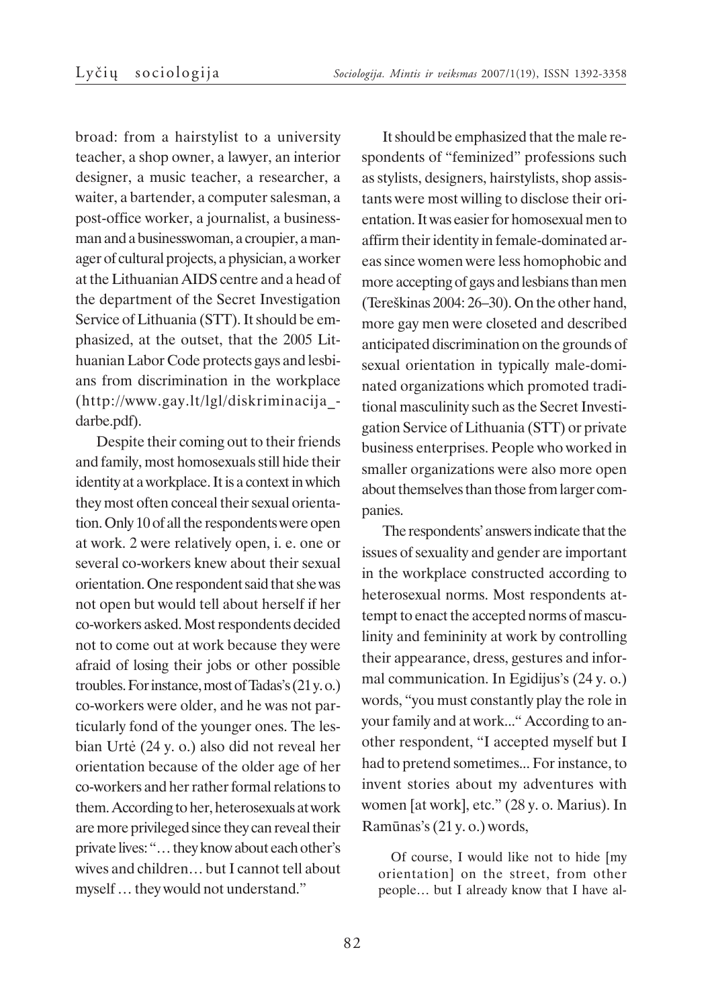broad: from a hairstylist to a university teacher, a shop owner, a lawyer, an interior designer, a music teacher, a researcher, a waiter, a bartender, a computer salesman, a post-office worker, a journalist, a businessman and a businesswoman, a croupier, a manager of cultural projects, a physician, a worker at the Lithuanian AIDS centre and a head of the department of the Secret Investigation Service of Lithuania (STT). It should be emphasized, at the outset, that the 2005 Lithuanian Labor Code protects gays and lesbians from discrimination in the workplace (http://www.gay.lt/lgl/diskriminacija\_ darbe.pdf).

Despite their coming out to their friends and family, most homosexuals still hide their identity at a workplace. It is a context in which they most often conceal their sexual orientation. Only 10 of all the respondents were open at work. 2 were relatively open, i. e. one or several co-workers knew about their sexual orientation. One respondent said that she was not open but would tell about herself if her co-workers asked. Most respondents decided not to come out at work because they were afraid of losing their jobs or other possible troubles. For instance, most of Tadas's (21 y. o.) co-workers were older, and he was not particularly fond of the younger ones. The lesbian Urtë (24 y. o.) also did not reveal her orientation because of the older age of her co-workers and her rather formal relations to them. According to her, heterosexuals at work are more privileged since they can reveal their private lives: "… they know about each other's wives and children… but I cannot tell about myself … they would not understand."

It should be emphasized that the male respondents of "feminized" professions such as stylists, designers, hairstylists, shop assistants were most willing to disclose their orientation. It was easier for homosexual men to affirm their identity in female-dominated areas since women were less homophobic and more accepting of gays and lesbians than men (Tereðkinas 2004: 26–30). On the other hand, more gay men were closeted and described anticipated discrimination on the grounds of sexual orientation in typically male-dominated organizations which promoted traditional masculinity such as the Secret Investigation Service of Lithuania (STT) or private business enterprises. People who worked in smaller organizations were also more open about themselves than those from larger companies.

The respondents' answers indicate that the issues of sexuality and gender are important in the workplace constructed according to heterosexual norms. Most respondents attempt to enact the accepted norms of masculinity and femininity at work by controlling their appearance, dress, gestures and informal communication. In Egidijus's (24 y. o.) words, "you must constantly play the role in your family and at work..." According to another respondent, "I accepted myself but I had to pretend sometimes... For instance, to invent stories about my adventures with women [at work], etc." (28 y. o. Marius). In Ramûnas's (21 y. o.) words,

Of course, I would like not to hide [my orientation] on the street, from other people… but I already know that I have al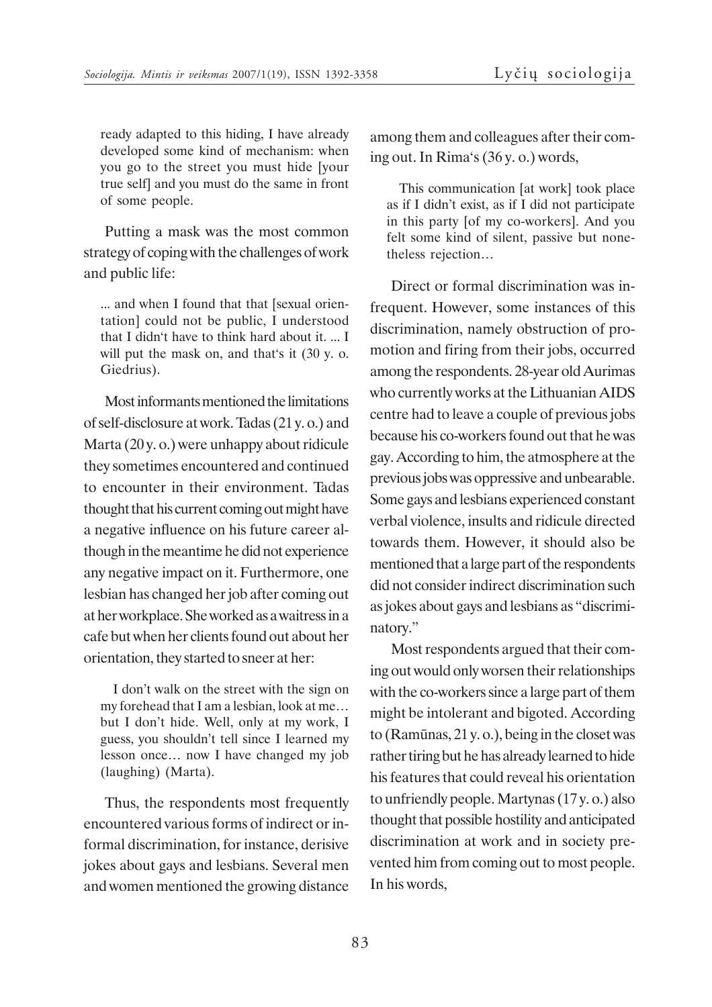ready adapted to this hiding, I have already developed some kind of mechanism: when you go to the street you must hide [your true self] and you must do the same in front of some people.

Putting a mask was the most common strategy of coping with the challenges of work and public life:

... and when I found that that [sexual orientation] could not be public, I understood that I didn't have to think hard about it. ... I will put the mask on, and that's it  $(30 \text{ y. o.})$ Giedrius).

Most informants mentioned the limitations of self-disclosure at work. Tadas (21 y. o.) and Marta (20 y. o.) were unhappy about ridicule they sometimes encountered and continued to encounter in their environment. Tadas thought that his current coming out might have a negative influence on his future career although in the meantime he did not experience any negative impact on it. Furthermore, one lesbian has changed her job after coming out at her workplace. She worked as a waitress in a cafe but when her clients found out about her orientation, they started to sneer at her:

I don't walk on the street with the sign on my forehead that I am a lesbian, look at me… but I don't hide. Well, only at my work, I guess, you shouldn't tell since I learned my lesson once… now I have changed my job (laughing) (Marta).

Thus, the respondents most frequently encountered various forms of indirect or informal discrimination, for instance, derisive jokes about gays and lesbians. Several men and women mentioned the growing distance among them and colleagues after their coming out. In Rima's (36 y. o.) words,

This communication [at work] took place as if I didn't exist, as if I did not participate in this party [of my co-workers]. And you felt some kind of silent, passive but nonetheless rejection…

Direct or formal discrimination was infrequent. However, some instances of this discrimination, namely obstruction of promotion and firing from their jobs, occurred among the respondents. 28-year old Aurimas who currently works at the Lithuanian AIDS centre had to leave a couple of previous jobs because his co-workers found out that he was gay. According to him, the atmosphere at the previous jobs was oppressive and unbearable. Some gays and lesbians experienced constant verbal violence, insults and ridicule directed towards them. However, it should also be mentioned that a large part of the respondents did not consider indirect discrimination such as jokes about gays and lesbians as "discriminatory."

Most respondents argued that their coming out would only worsen their relationships with the co-workers since a large part of them might be intolerant and bigoted. According to (Ramûnas, 21 y. o.), being in the closet was rather tiring but he has already learned to hide his features that could reveal his orientation to unfriendly people. Martynas (17 y. o.) also thought that possible hostility and anticipated discrimination at work and in society prevented him from coming out to most people. In his words,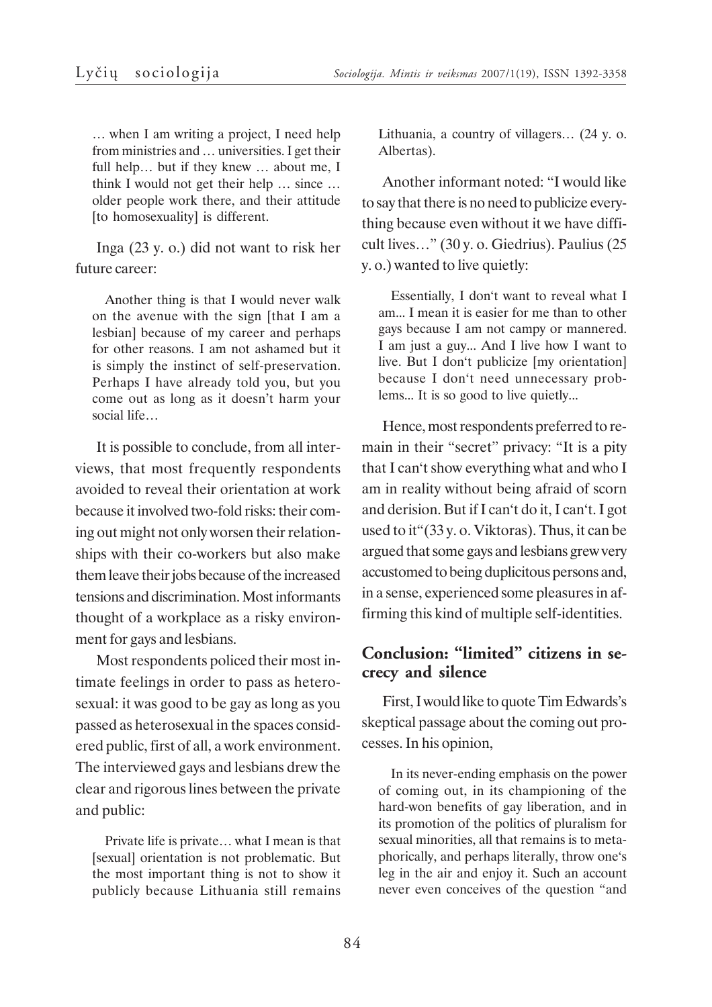… when I am writing a project, I need help from ministries and … universities. I get their full help… but if they knew … about me, I think I would not get their help … since … older people work there, and their attitude [to homosexuality] is different.

Inga (23 y. o.) did not want to risk her future career:

Another thing is that I would never walk on the avenue with the sign [that I am a lesbian] because of my career and perhaps for other reasons. I am not ashamed but it is simply the instinct of self-preservation. Perhaps I have already told you, but you come out as long as it doesn't harm your social life…

It is possible to conclude, from all interviews, that most frequently respondents avoided to reveal their orientation at work because it involved two-fold risks: their coming out might not only worsen their relationships with their co-workers but also make them leave their jobs because of the increased tensions and discrimination. Most informants thought of a workplace as a risky environment for gays and lesbians.

Most respondents policed their most intimate feelings in order to pass as heterosexual: it was good to be gay as long as you passed as heterosexual in the spaces considered public, first of all, a work environment. The interviewed gays and lesbians drew the clear and rigorous lines between the private and public:

Private life is private… what I mean is that [sexual] orientation is not problematic. But the most important thing is not to show it publicly because Lithuania still remains Lithuania, a country of villagers… (24 y. o. Albertas).

Another informant noted: "I would like to say that there is no need to publicize everything because even without it we have difficult lives…" (30 y. o. Giedrius). Paulius (25 y. o.) wanted to live quietly:

Essentially, I don't want to reveal what I am... I mean it is easier for me than to other gays because I am not campy or mannered. I am just a guy... And I live how I want to live. But I don't publicize [my orientation] because I don't need unnecessary problems... It is so good to live quietly...

Hence, most respondents preferred to remain in their "secret" privacy: "It is a pity that I can't show everything what and who I am in reality without being afraid of scorn and derision. But if I can't do it, I can't. I got used to it"(33 y. o. Viktoras). Thus, it can be argued that some gays and lesbians grew very accustomed to being duplicitous persons and, in a sense, experienced some pleasures in affirming this kind of multiple self-identities.

# **Conclusion: "limited" citizens in secrecy and silence**

First, I would like to quote Tim Edwards's skeptical passage about the coming out processes. In his opinion,

In its never-ending emphasis on the power of coming out, in its championing of the hard-won benefits of gay liberation, and in its promotion of the politics of pluralism for sexual minorities, all that remains is to metaphorically, and perhaps literally, throw one's leg in the air and enjoy it. Such an account never even conceives of the question "and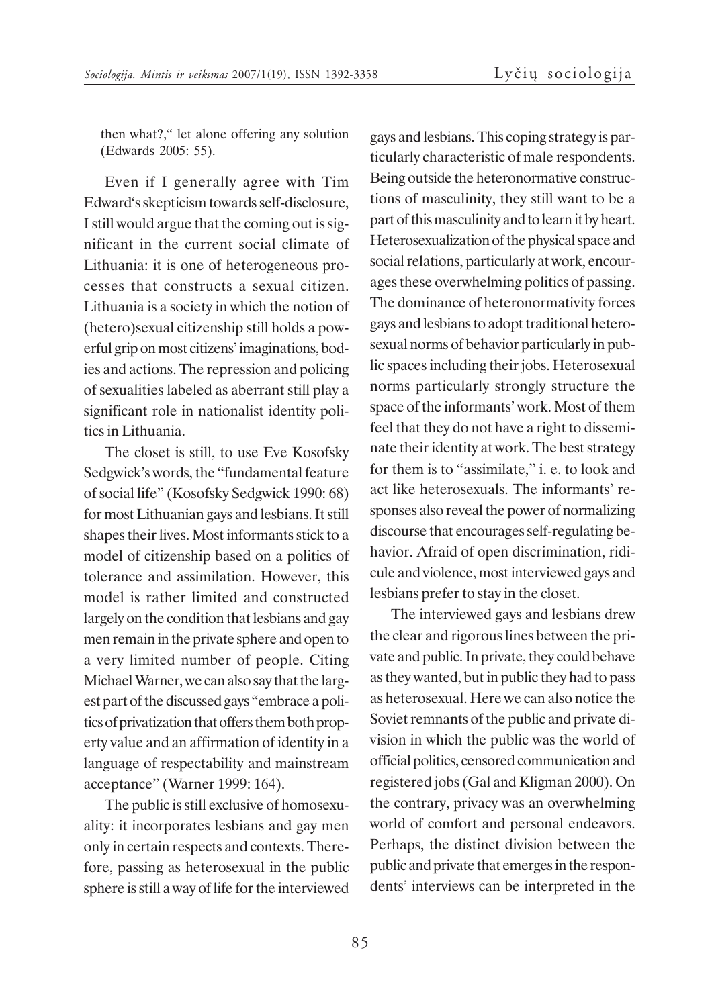then what?," let alone offering any solution (Edwards 2005: 55).

Even if I generally agree with Tim Edward's skepticism towards self-disclosure, I still would argue that the coming out is significant in the current social climate of Lithuania: it is one of heterogeneous processes that constructs a sexual citizen. Lithuania is a society in which the notion of (hetero)sexual citizenship still holds a powerful grip on most citizens' imaginations, bodies and actions. The repression and policing of sexualities labeled as aberrant still play a significant role in nationalist identity politics in Lithuania.

The closet is still, to use Eve Kosofsky Sedgwick's words, the "fundamental feature of social life" (Kosofsky Sedgwick 1990: 68) for most Lithuanian gays and lesbians. It still shapes their lives. Most informants stick to a model of citizenship based on a politics of tolerance and assimilation. However, this model is rather limited and constructed largely on the condition that lesbians and gay men remain in the private sphere and open to a very limited number of people. Citing Michael Warner, we can also say that the largest part of the discussed gays "embrace a politics of privatization that offers them both property value and an affirmation of identity in a language of respectability and mainstream acceptance" (Warner 1999: 164).

The public is still exclusive of homosexuality: it incorporates lesbians and gay men only in certain respects and contexts. Therefore, passing as heterosexual in the public sphere is still a way of life for the interviewed

gays and lesbians. This coping strategy is particularly characteristic of male respondents. Being outside the heteronormative constructions of masculinity, they still want to be a part of this masculinity and to learn it by heart. Heterosexualization of the physical space and social relations, particularly at work, encourages these overwhelming politics of passing. The dominance of heteronormativity forces gays and lesbians to adopt traditional heterosexual norms of behavior particularly in public spaces including their jobs. Heterosexual norms particularly strongly structure the space of the informants' work. Most of them feel that they do not have a right to disseminate their identity at work. The best strategy for them is to "assimilate," i. e. to look and act like heterosexuals. The informants' responses also reveal the power of normalizing discourse that encourages self-regulating behavior. Afraid of open discrimination, ridicule and violence, most interviewed gays and lesbians prefer to stay in the closet.

The interviewed gays and lesbians drew the clear and rigorous lines between the private and public. In private, they could behave as they wanted, but in public they had to pass as heterosexual. Here we can also notice the Soviet remnants of the public and private division in which the public was the world of official politics, censored communication and registered jobs (Gal and Kligman 2000). On the contrary, privacy was an overwhelming world of comfort and personal endeavors. Perhaps, the distinct division between the public and private that emerges in the respondents' interviews can be interpreted in the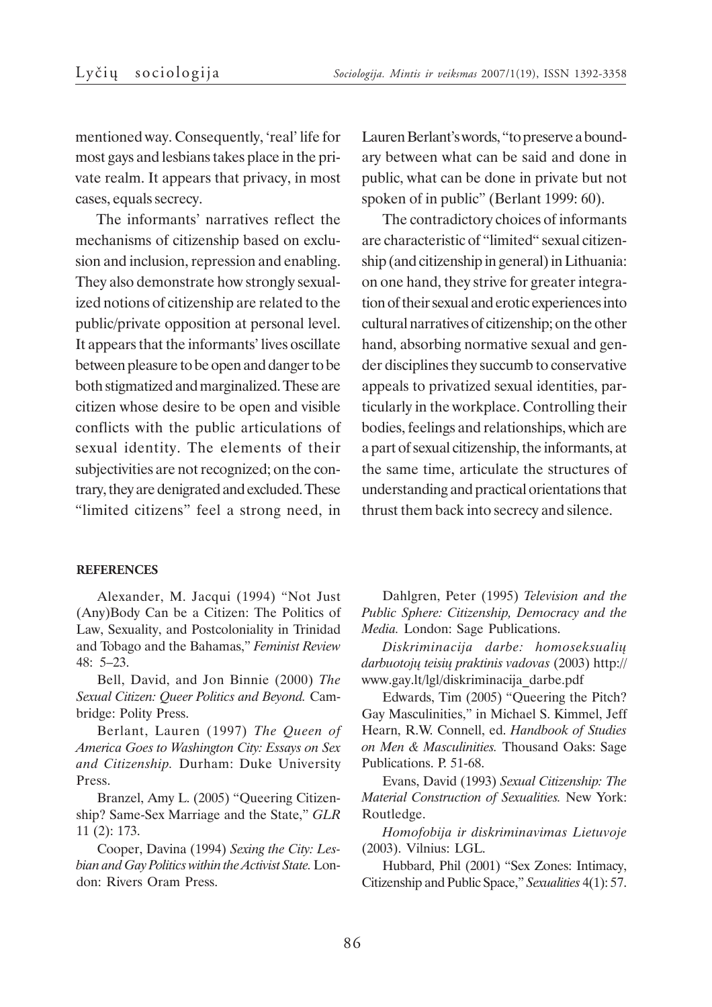mentioned way. Consequently, 'real' life for most gays and lesbians takes place in the private realm. It appears that privacy, in most cases, equals secrecy.

The informants' narratives reflect the mechanisms of citizenship based on exclusion and inclusion, repression and enabling. They also demonstrate how strongly sexualized notions of citizenship are related to the public/private opposition at personal level. It appears that the informants' lives oscillate between pleasure to be open and danger to be both stigmatized and marginalized. These are citizen whose desire to be open and visible conflicts with the public articulations of sexual identity. The elements of their subjectivities are not recognized; on the contrary, they are denigrated and excluded. These "limited citizens" feel a strong need, in

**REFERENCES**

Alexander, M. Jacqui (1994) "Not Just (Any)Body Can be a Citizen: The Politics of Law, Sexuality, and Postcoloniality in Trinidad and Tobago and the Bahamas," *Feminist Review* 48: 5–23.

Bell, David, and Jon Binnie (2000) *The Sexual Citizen: Queer Politics and Beyond.* Cambridge: Polity Press.

Berlant, Lauren (1997) *The Queen of America Goes to Washington City: Essays on Sex and Citizenship.* Durham: Duke University Press.

Branzel, Amy L. (2005) "Queering Citizenship? Same-Sex Marriage and the State," *GLR* 11 (2): 173.

Cooper, Davina (1994) *Sexing the City: Lesbian and Gay Politics within the Activist State.* London: Rivers Oram Press.

Lauren Berlant's words, "to preserve a boundary between what can be said and done in public, what can be done in private but not spoken of in public" (Berlant 1999: 60).

The contradictory choices of informants are characteristic of "limited" sexual citizenship (and citizenship in general) in Lithuania: on one hand, they strive for greater integration of their sexual and erotic experiences into cultural narratives of citizenship; on the other hand, absorbing normative sexual and gender disciplines they succumb to conservative appeals to privatized sexual identities, particularly in the workplace. Controlling their bodies, feelings and relationships, which are a part of sexual citizenship, the informants, at the same time, articulate the structures of understanding and practical orientations that thrust them back into secrecy and silence.

Dahlgren, Peter (1995) *Television and the Public Sphere: Citizenship, Democracy and the Media.* London: Sage Publications.

*Diskriminacija darbe: homoseksualiø darbuotojø teisiø praktinis vadovas* (2003) http:// www.gay.lt/lgl/diskriminacija\_darbe.pdf

Edwards, Tim (2005) "Queering the Pitch? Gay Masculinities," in Michael S. Kimmel, Jeff Hearn, R.W. Connell, ed. *Handbook of Studies on Men & Masculinities.* Thousand Oaks: Sage Publications. P. 51-68.

Evans, David (1993) *Sexual Citizenship: The Material Construction of Sexualities.* New York: Routledge.

*Homofobija ir diskriminavimas Lietuvoje* (2003). Vilnius: LGL.

Hubbard, Phil (2001) "Sex Zones: Intimacy, Citizenship and Public Space," *Sexualities* 4(1): 57.